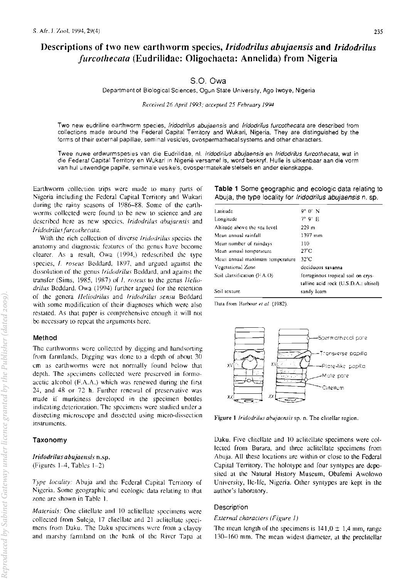# Descriptions of two new earthworm species, Iridodrilus abujaensis and Iridodrilus *furcothecata* (Eudrilidae: Oligochaeta: Annelida) from Nigeria

## S.O. Owa

Department of Biological Sciences, Ogun State University, Ago Iwoye, Nigeria

Received 26 April 1993; accepted 25 February 1994

Two new eudriline earthworm species, Iridodrilus abujaensis and Iridodrilus furcothecata are described from collections made around the Federal Capital Territory and Wukari, Nigeria. They are distinguished by the forms of their external papillae, seminal vesicles, ovospermathecal systems and other characters.

Twee nuwe erdwurmspesies van die Eudrilidae, nl. Iridodrilus abujaensis en Iridodrilus furcothecata, wat in die Federal Capital Territory en Wukari in Nigerië versamel is, word beskryf. Hulle is uitkenbaar aan die vorm van hul uitwendige papille, seminale vesikels, ovospermatekale stelsels en ander eienskappe.

Earthworm collection trips were made to many parts of Nigeria including the Federal Capital Territory and Wukari during the rainy seasons of 1986-88. Some of the earthworms collected were found to be new to science and are described here as new species, Iridodrilus abujaensis and Iridodrilus furcothecata.

With the rich collection of diverse *Iridodrilus* species the anatomy and diagnostic features of the genus have become clearer. As a result, Owa (1994,) redescribed the type species, *I. roseus* Beddard, 1897, and argued against the dissolution of the genus *Iridodrilus* Beddard, and against the transfer (Sims, 1985, 1987) of *1*, *roseus* to the genus *Helio*drilus Beddard. Owa (1994) further argued for the retention of the genera Heliodrilus and Iridodrilus sensu Beddard with some modification of their diagnoses which were also restated. As that paper is comprehensive enough it will not be necessary to repeat the arguments here.

### Method

The earthworms were collected by digging and handsorting from farmlands. Digging was done to a depth of about 30 cm as earthworms were not normally found below that depth. The specimens collected were preserved in formoacetic alcohol (F.A.A.) which was renewed during the first 24, and 48 or 72 h. Further renewal of preservative was made if murkiness developed in the specimen bottles indicating deterioration. The specimens were studied under a dissecting microscope and dissected using micro-dissection instruments.

### Taxonomy

Iridodrilus abujaensis n.sp. (Figures  $1-4$ , Tables  $1-2$ )

Type locality: Abuja and the Federal Capital Territory of Nigeria. Some geographic and ecologic data relating to that zone are shown in Table 1.

*Materials:* One clitellate and 10 actitellate specimens were collected from Suleja, 17 clitellate and 21 actitellate specimens from Daku. The Daku specimens were from a clayey and marshy farmland on the bank of the River Tapa at

| Table 1 Some geographic and ecologic data relating to      |  |  |  |  |
|------------------------------------------------------------|--|--|--|--|
| Abuja, the type locality for Iridodrilus abujaensis n. sp. |  |  |  |  |

| Latitude                        | $9^{\circ}$ $0'$ N                    |  |  |  |
|---------------------------------|---------------------------------------|--|--|--|
| Longitude                       | $7^\circ$ 0' E                        |  |  |  |
| Altitude above the sea level    | 229 <sub>m</sub>                      |  |  |  |
| Mean annual rainfall            | 1397 mm                               |  |  |  |
| Mean number of raindays         | 110                                   |  |  |  |
| Mean annual temperature         | $27^{\circ}$ C                        |  |  |  |
| Mean annual maximum temperature | 32°C                                  |  |  |  |
| Vegetational Zone               | deciduous savanna                     |  |  |  |
| Soil classification $(FA, O)$   | ferruginous tropical soil on crys-    |  |  |  |
|                                 | talline acid rock (U.S.D.A.: ultisol) |  |  |  |
| Soil texture                    | sandy loam                            |  |  |  |
|                                 |                                       |  |  |  |

Data from Barbour et al. (1982).



Figure 1 Iridodrilus abujaensis sp. n. The clitellar region.

Daku. Five clitellate and 10 aclitellate specimens were collected from Burara, and three aclitellate specimens from Abuja. All these locations are within or close to the Federal Capital Territory. The holotype and four syntypes are deposited at the Natural History Museum, Obafemi Awolowo University, Ile-Ife, Nigeria. Other syntypes are kept in the author's laboratory.

### Description

### External characters (Figure 1)

The mean length of the specimens is  $141,0 \pm 1,4$  mm, range 130–160 mm. The mean widest diameter, at the preclitellar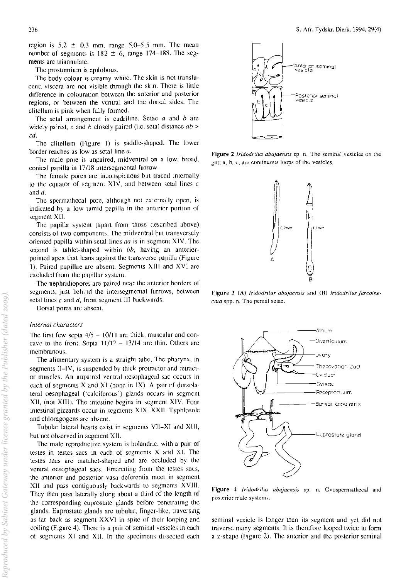region is  $5.2 \pm 0.3$  mm, range  $5.0-5.5$  mm. The mean number of segments is  $182 \pm 6$ , range 174-188. The segments arc triannulate.

**The proslomium is cpilobous.** 

The body colour is creamy white. The skin is not translu**cent; viscera arc not visible through the skin. There is little difference in colouration between the anterior and posterior**  regions, or between the ventral and the dorsal sides. The clitellum is pink when fully formed.

The setal arrangement is cudriline. Setae *a* and *b* are widely paired, c and *h* closely paired (i.e. setal distance *ab* > *cd.* 

The clitellum (Figure I) is saddle-shaped. The lower **border reaches as low as setal line a.** 

The male pore is unpaired, midventral on a low, broad, conical papilla in 17/18 intersegmental furrow.

The female pores are inconspicuous but traced internally to the equator of segment XIV, and between setal lines  $c$ and d.

The spermathecal pore, although not externally open, is **indicated by a low tumid papilla in the anterior portion or**  segment XII.

The papilla system (apart from those described above) **consists of two components. The midvcntral hut transversely**  oriented papilla within setal lines *aa* is in segment XIV. The second is tablet-shaped within bb, having an anterior**pointed apex that leans against the transverse papilla (Figure**  I). Paired papillae arc absent. Segments XIII and XVI arc excluded from the papillar system.

The nephridiopores are paired near the anterior borders of segments, just behind the intersegmental furrows, between **selallines c and d, from segment III hackwards.** 

**Dorsal pores are absent.** 

#### *Internal characters*

The first few septa  $4/5 - 10/11$  are thick, muscular and concave to the front. Septa  $11/12 - 13/14$  are thin. Others are **membranous.** 

The alimentary system is a straight tube. The pharynx, in segments II-IV, is suspended by thick protractor and retract**or muscles. An unpaired ventral oesophageal sac occurs in**  each of segments  $X$  and  $XI$  (none in  $IX$ ). A pair of dorsola**teral oesophageal ('calciferous') glands occurs in segment**  XII, (not XIII). The intestine begins in segment XIV. Four intestinal gizzards occur in segments XIX-XXII. TyphlosoJc and chloragogens arc absent.

Tubular lateral hearts exist in segments VIJ-XI and XIII, but not observed in segment XII.

**The male reproductive system is holandric, with a pair of testes in testes sacs in each of segments X and XI. The testes sacs are matchet-shaped and are occluded by the ventral oesophageal sacs. Emanating from the testes sacs,**  the anterior and posterior vasa deferentia meet in segment XII and pass contiguously backwards to segments XVIII. They then pass laterally along about a third of the length of the corresponding euprostate glands before penetrating thc glands. Euprostate glands arc tubular, finger-like, traversing **as far back as segment XXVI in spite or their looping and**  coiling (Figure 4). There is a pair of seminal vesicles in each 01 segments XI and XII. In the specimens dissected each



**Figure 2** *Iridodrilus abujaensis* **sp. n. The seminal vesicles on the gUl; a, h, c, arc cDntinuous loops of the vesicles.** 



**Figure 3 (A)** *Iridodrilus abujaensis* **and (B)** *Iridodrifus furcolhe. raJa* **spp. n. The penial setae.** 



**Figure 4** *Iridodrilus abujaensis* **sp. n. Ovospermathecal and posterior male systems.** 

**seminal vesicle is longer than its segment and yet did not traverse many segments. It is therefore looped twice to form**  a z-shape (Figure 2). The amerior and the posterior seminal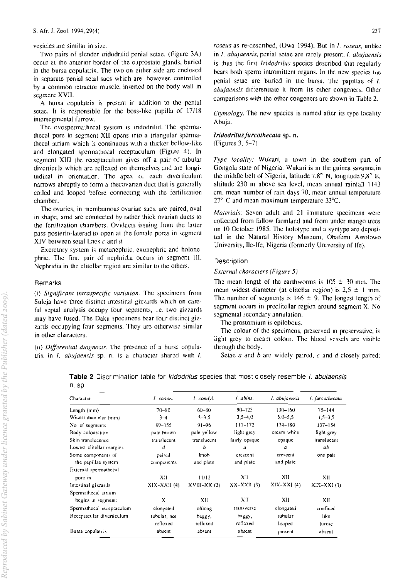### vesicles arc similar in size.

Two pairs of slender iridodrilid penial selae, (Figure 3A) occur at the anterior border of the euprostate glands, buried in the bursa copulatrix. The two on either side are enclosed in separate penial setal sacs which are, however, controlled hy a common retractor muscle, insened on [he body wall in segment XVII.

A hursa copu)atrix is prescnt in addition to the penial setae. It is responsible for the boss-like papilla of 17/18 intersegmental furrow.

The ovospermathecal system is iridodrilid. The spermathecal pore in segment XII opens into a triangular spermathecal atrium which is continuous with a thicker bellow-like and elongated spermathecal receptaculum (Figure 4). In segment XIII the receptaculum gives off a pair of tubular diverticula which are reflexed on themselves and are longitudinal in orientation. The apex of each diverticulum narrows abruptly to form a thecovarian duct that is generally coiled and looped before connecting with the fertilization chamber.

The ovaries, in membranous ovarian sacs, arc paired, oval in shape, amd are connected by rather thick ovarian ducts to the fertilization chambers. Oviducts issuing from the latter pass posterio-laterad to open at the female pores in segment XIV between setal lines c and  $d$ .

Excretory system is metanephric, exonephric and holonephric. The first pair of nephridia occurs in segment Ill. Nephridia in the clitellar region are similar to the others.

### Remarks

(i) *Significant intraspecific variation*. The specimens from Suleja have three distinct intestinal gizzards which on careful septal analysis occupy four segments, i.e. two gizzards may have fused, The Daku specimens bear four distinct gizzards occupying four segments. They are otherwise similar in other characters.

(ii) *Differential diagnosis*. The presence of a bursa copulalrix in I. *abujaensis* sp. n. is a character shared with I.

*roseus* as re-described, (Owa 1994). But in *I. roseus*, unlike in *I. abujaensis,* penial setae are rarely present. I. *abujaensis*  is thus the first *Iridodrilus* species described that regularly bears both sperm intromittent organs. In the new species the penial setae are buried in the bursa. The papillae of I. *abujaensis* differentiate it from its other congeners. Other comparisons with the other congeners are shown in Table 2.

*Etymology*. The new species is named after its type locality Abuja.

### *lridodrilusJurcothecata* sp, n, (Figures 3, 5-7)

*Type locality:* Wukari, a town in the southern part of Gongola state of Nigeria. Wukari is in the guinea savanna.in the middle belt of Nigeria, latitude 7.8 $^{\circ}$  N, longitude 9.8 $^{\circ}$  E, altitude 230 m above sea level, mean annual rainfall 1143 cm, mean number of rain days 70, mean annual temperature *27°* C and mean maximum temperature *33°C.* 

*Maleriais:* Seven adult and 21 immature specimens were collected from fallow farmland and from under mango trees on 10 October 1985. The holotype and a syntype are deposi-[cd in the Natural His[ory Museum, Obafemi Awo1owo University, lIe-Ife, Nigeria (formerly University of Ife).

### **Description**

### *External characlers (Figure 5)*

The mean length of the earthworms is  $105 \pm 30$  mm. The mean widest diameter (at clitellar region) is  $2,5 \pm 1$  mm. The number of segments is 146  $\pm$  9. The longest length of segment occurs in prcclitellar region around segment X. No segmental secondary annulation.

The prostomium is epilobous.

The colour of the specimens, preserved in preservative, is light grey to cream colour. The blood vessels are visible through the body.

Selae *a* and *b* arc widely paired, c and *d* closely paired;

Table 2 Discrimination table for *Iridodrilus* species that most closely resemble *I. abujaensis* n. Sp.

| Character                                 | I. codon.            | I. condyl.        | $l$ abins.            | 1. abujaensis         | 1. furcol necala |
|-------------------------------------------|----------------------|-------------------|-----------------------|-----------------------|------------------|
| Length (mm)                               | $70 - 80$            | $60 - 80$         | $90 - 125$            | 130–160               | $75 - 144$       |
| Widest diameter (mm)                      | $3 - 4$              | $3 - 3, 5$        | $3.5 - 4.0$           | $5.0 - 5.5$           | $1.5 - 3.5$      |
| No. of segments                           | 89-155               | $91 - 96$         | $111 - 172$           | $174 - 180$           | $137 - 154$      |
| Body colouration                          | pale brown           | pale yellow       | light grey            | cream white           | light grey       |
| Skin translucence                         | translucent          | translucent       | fairly opaque         | opaque                | translucent      |
| Lowest clitellar margins                  | d                    | b                 | a                     | a                     | аb               |
| Some components of<br>the papillae system | paired<br>components | knob<br>and plate | crescent<br>and plate | crescent<br>and plate | one pair         |
| External spermathecal                     |                      |                   |                       |                       |                  |
| pore in                                   | XП                   | 11/12             | XII                   | XII                   | XII              |
| Intestinal gizzards                       | $XIX-XXH(4)$         | $XVIII-XX(3)$     | $XX-XXII(3)$          | $XIX-XXI(4)$          | $XIX-XXI(3)$     |
| Spermathecal atrium                       |                      |                   |                       |                       |                  |
| begins in segment:                        | X                    | XII               | XII                   | XII                   | XII              |
| Spermathecal receptaculum                 | clongated            | oblong            | transverse            | clongated             | confined         |
| Receptacular diverticulum                 | tubular, not         | baggy,            | haggy,                | tubular               | like             |
|                                           | reflexed             | reflexed          | rcflexed              | looped                | furcae           |
| Bursa copulatrix                          | absent               | absent            | absent                | present               | absent           |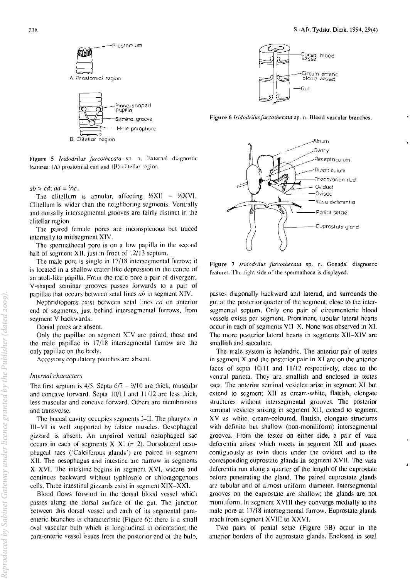

Figure 5 *lridodrilus furcothecata* sp. n. External diagnostic features:  $(A)$  prostomial end and  $(B)$  clitellar region.

 $ab > cd$ ;  $ad = \frac{1}{2}c$ .

The clitellum is annular, affecting  $\frac{1}{2}XU = \frac{1}{2}XV$ . Clitellum is wider than the neighboring segments. Ventrally and dorsally intersegmental grooves arc fairly distinct in the clitcllar region.

The paired female pores arc inconspicuous but traced internally to midsegment XIV.

The spermathecal pore is on a low papilla in the second half of segment XII, just in front of 12/13 septum.

The male pore is single in 17/18 intersegmental furrow; it is located in a shallow crater-like depression in the centre of an atoll-like papilla. From the male pore a pair of divergent, V -shaped seminar grooves passes forwards to a pair of papillae that occurs between setal lines *ab* in segment XIV.

Nephridiopores exist between setal lines *cd* on anterior end of segments, just behind intersegmental furrows, from segment V backwards.

Dorsal pores are absent.

Only the papillae on segment XIV arc paired; those and the male papillae in 17/l8 intersegmental furrow arc the only papillae on the body.

Accessory copulatory pouches are absent.

#### *Internal characlers*

The first septum is  $4/5$ . Septa  $6/7 - 9/10$  arc thick, muscular and concave forward. Septa  $10/11$  and  $11/12$  arc less thick, less muscular and concave forward. Others are membranous and transvcrse.

The buccal cavity occupies segments I-II. The pharynx in III-VI is well supported by dilator muscles. Oesophageal gizzard is absent. An unpaired ventral oesophageal sac occurs in each of segments  $X-XI$  (= 2). Dorsolateral ocsophageal sacs ('Calcirerous glands') arc paired in segment XII. The oesophagus and intestinc arc narrow in segments X-XVI. The intestine begins in segment XVI, widens and continues backward without typhlosolc or chloragogcnous cells. Three intestinal gizzards exist in segment XIX-XXI.

Blood flows forward in the dorsal blood vessel which passes along the dorsal surrace of the gut. The junction between this dorsal vessel and each of its segmental paraenteric branches is characteristic (Figure 6): there is a small oval vascular bulb which is longitudinal in orientation; the para-enteric vessel issues from the posterior end of the bulb,



Figure 6 Iridodrilus furcothecata sp. n. Blood vascular branches.



Figure 7 */ridodriius furcothecata* sp. n. Gonadal diagnostic features. The right side of the sperrnathcca is displayed.

passes diagonally backward and laterad, and surrounds the gut at the posterior quarter of the segment, close to the intersegmental septum. Only one pair of circumenteric blood vessels exists pcr segment. Prominent, tubular lateral hearts occur in each of segments VII-X. None was observed in XI. The more posterior lateral hearts in segments XII-XIV are smallish and sacculatc.

The male system is holandric. The anterior pair of testes in segmcnt X and thc postcrior pair in XI are on the anterior faces of septa  $10/11$  and  $11/12$  respectively, close to the ventral parieta. They arc smallish and enclosed in testes sacs. The anterior seminal vesicles arise in segment XI but extend to segment XII as cream-white, flattish, clongatc structures without intersegmental grooves. The poslerior seminal vesicles arising in segment XII, cxtend to segment XV as white, cream-coloured, flattish, elongate structures with definite but shallow (non-moniliform) intersegmental grooves. From the testes on either side, a pair of vasa deferentia arises which meets in segment XII and passes contiguously as twin ducts under the oviduct and to the corresponding euprostate glands in segment XVII. The vasa deferentia run along a quarter of the length of the euprostate before penetrating the gland. The paired euprostate glands are tubular and of almost uniform diameter. Intersegmental grooves on the euprostale are shallow; the glands are not moniliform. In segment XVIII they converge medially to the male pore at 17/18 intersegmental furrow. Euprostate glands reach from segment XVIII to XXVI.

Two pairs of penial setae (Figure 38) Occur in the anterior borders of the euprostate glands. Enclosed in setal